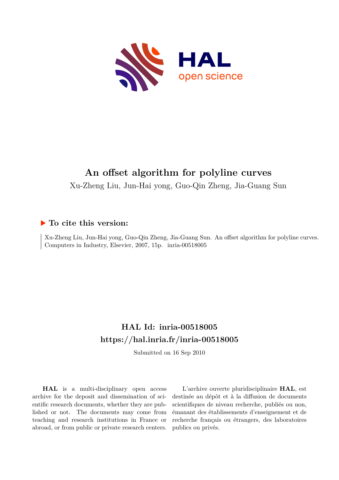

# **An offset algorithm for polyline curves**

Xu-Zheng Liu, Jun-Hai yong, Guo-Qin Zheng, Jia-Guang Sun

# **To cite this version:**

Xu-Zheng Liu, Jun-Hai yong, Guo-Qin Zheng, Jia-Guang Sun. An offset algorithm for polyline curves. Computers in Industry, Elsevier, 2007, 15p. inria-00518005

# **HAL Id: inria-00518005 <https://hal.inria.fr/inria-00518005>**

Submitted on 16 Sep 2010

**HAL** is a multi-disciplinary open access archive for the deposit and dissemination of scientific research documents, whether they are published or not. The documents may come from teaching and research institutions in France or abroad, or from public or private research centers.

L'archive ouverte pluridisciplinaire **HAL**, est destinée au dépôt et à la diffusion de documents scientifiques de niveau recherche, publiés ou non, émanant des établissements d'enseignement et de recherche français ou étrangers, des laboratoires publics ou privés.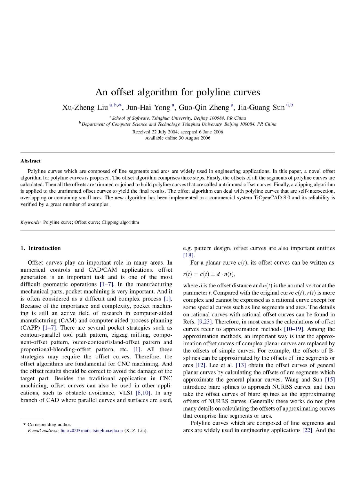# An offset algorithm for polyline curves

Xu-Zheng Liu<sup>a,b,\*</sup>, Jun-Hai Yong<sup>a</sup>, Guo-Qin Zheng<sup>a</sup>, Jia-Guang Sun<sup>a,b</sup>

<sup>a</sup> School of Software, Tsinghua University, Beijing 100084, PR China <sup>b</sup> Department of Computer Science and Technology, Tsinghua University, Beijing 100084, PR China

> Received 22 July 2004; accepted 6 June 2006 Available online 30 August 2006

## **Abstract**

Polyline curves which are composed of line segments and arcs are widely used in engineering applications. In this paper, a novel offset algorithm for polyline curves is proposed. The offset algorithm comprises three steps. Firstly, the offsets of all the segments of polyline curves are calculated. Then all the offsets are trimmed or joined to build polyline curves that are called untrimmed offset curves. Finally, a clipping algorithm is applied to the untrimmed offset curves to yield the final results. The offset algorithm can deal with polyline curves that are self-intersection, overlapping or containing small arcs. The new algorithm has been implemented in a commercial system TiOpenCAD 8.0 and its reliability is verified by a great number of examples.

Keywords: Polyline curve; Offset curve; Clipping algorithm

# 1. Introduction

Offset curves play an important role in many areas. In numerical controls and CAD/CAM applications, offset generation is an important task and is one of the most difficult geometric operations  $[1-7]$ . In the manufacturing mechanical parts, pocket machining is very important. And it is often considered as a difficult and complex process [1]. Because of the importance and complexity, pocket machining is still an active field of research in computer-aided manufacturing (CAM) and computer-aided process planning (CAPP) [1-7]. There are several pocket strategies such as contour-parallel tool path pattern, zigzag milling, component-offset pattern, outer-contour/island-offset pattern and proportional-blending-offset pattern, etc. [1]. All these strategies may require the offset curves. Therefore, the offset algorithms are fundamental for CNC machining. And the offset results should be correct to avoid the damage of the target part. Besides the traditional application in CNC machining, offset curves can also be used in other applications, such as obstacle avoidance, VLSI [8,10]. In any branch of CAD where parallel curves and surfaces are used,

e.g. pattern design, offset curves are also important entities  $[18]$ 

For a planar curve  $c(t)$ , its offset curves can be written as

$$
r(t) = c(t) \pm d \cdot n(t),
$$

where d is the offset distance and  $n(t)$  is the normal vector at the parameter *t*. Compared with the original curve  $c(t)$ ,  $r(t)$  is more complex and cannot be expressed as a rational curve except for some special curves such as line segments and arcs. The details on rational curves with rational offset curves can be found in Refs. [9,23]. Therefore, in most cases the calculations of offset curves recur to approximation methods [10-19]. Among the approximation methods, an important way is that the approximation offset curves of complex planar curves are replaced by the offsets of simple curves. For example, the offsets of Bsplines can be approximated by the offsets of line segments or arcs [12]. Lee et al. [13] obtain the offset curves of general planar curves by calculating the offsets of arc segments which approximate the general planar curves. Wang and Sun [15] introduce biarc splines to approach NURBS curves, and then take the offset curves of biarc splines as the approximating offsets of NURBS curves. Generally these works do not give many details on calculating the offsets of approximating curves that comprise line segments or arcs.

Polyline curves which are composed of line segments and arcs are widely used in engineering applications [22]. And the

<sup>\*</sup> Corresponding author. E-mail address: liu-xz02@mails.tsinghua.edu.cn (X.-Z. Liu).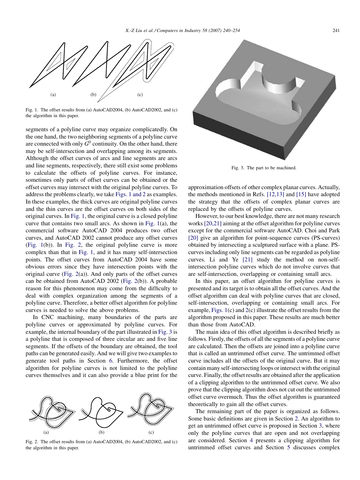

Fig. 1. The offset results from (a) AutoCAD2004, (b) AutoCAD2002, and (c) the algorithm in this paper.

segments of a polyline curve may organize complicatedly. On the one hand, the two neighboring segments of a polyline curve are connected with only  $G^0$  continuity. On the other hand, there may be self-intersection and overlapping among its segments. Although the offset curves of arcs and line segments are arcs and line segments, respectively, there still exist some problems to calculate the offsets of polyline curves. For instance, sometimes only parts of offset curves can be obtained or the offset curves may intersect with the original polyline curves. To address the problems clearly, we take Figs. 1 and 2 as examples. In these examples, the thick curves are original polyline curves and the thin curves are the offset curves on both sides of the original curves. In Fig. 1, the original curve is a closed polyline curve that contains two small arcs. As shown in Fig. 1(a), the commercial software AutoCAD 2004 produces two offset curves, and AutoCAD 2002 cannot produce any offset curves (Fig. 1(b)). In Fig. 2, the original polyline curve is more complex than that in Fig. 1, and it has many self-intersection points. The offset curves from AutoCAD 2004 have some obvious errors since they have intersection points with the original curve (Fig. 2(a)). And only parts of the offset curves can be obtained from AutoCAD 2002 (Fig. 2(b)). A probable reason for this phenomenon may come from the difficulty to deal with complex organization among the segments of a polyline curve. Therefore, a better offset algorithm for polyline curves is needed to solve the above problems.

In CNC machining, many boundaries of the parts are polyline curves or approximated by polyline curves. For example, the internal boundary of the part illustrated in Fig. 3 is a polyline that is composed of three circular arc and five line segments. If the offsets of the boundary are obtained, the tool paths can be generated easily. And we will give two examples to generate tool paths in Section 6. Furthermore, the offset algorithm for polyline curves is not limited to the polyline curves themselves and it can also provide a blue print for the



Fig. 2. The offset results from (a) AutoCAD2004, (b) AutoCAD2002, and (c) the algorithm in this paper.



Fig. 3. The part to be machined.

approximation offsets of other complex planar curves. Actually, the methods mentioned in Refs. [12,13] and [15] have adopted the strategy that the offsets of complex planar curves are replaced by the offsets of polyline curves.

However, to our best knowledge, there are not many research works [20,21] aiming at the offset algorithm for polyline curves except for the commercial software AutoCAD. Choi and Park [20] give an algorithm for point-sequence curves (PS-curves) obtained by intersecting a sculptured surface with a plane. PScurves including only line segments can be regarded as polyline curves. Li and Ye [21] study the method on non-selfintersection polyline curves which do not involve curves that are self-intersection, overlapping or containing small arcs.

In this paper, an offset algorithm for polyline curves is presented and its target is to obtain all the offset curves. And the offset algorithm can deal with polyline curves that are closed, self-intersection, overlapping or containing small arcs. For example, Figs. 1(c) and 2(c) illustrate the offset results from the algorithm proposed in this paper. These results are much better than those from AutoCAD.

The main idea of this offset algorithm is described briefly as follows. Firstly, the offsets of all the segments of a polyline curve are calculated. Then the offsets are joined into a polyline curve that is called an untrimmed offset curve. The untrimmed offset curve includes all the offsets of the original curve. But it may contain many self-intersecting loops or intersect with the original curve. Finally, the offset results are obtained after the application of a clipping algorithm to the untrimmed offset curve. We also prove that the clipping algorithm does not cut out the untrimmed offset curve overmuch. Thus the offset algorithm is guaranteed theoretically to gain all the offset curves.

The remaining part of the paper is organized as follows. Some basic definitions are given in Section 2. An algorithm to get an untrimmed offset curve is proposed in Section 3, where only the polyline curves that are open and not overlapping are considered. Section 4 presents a clipping algorithm for untrimmed offset curves and Section 5 discusses complex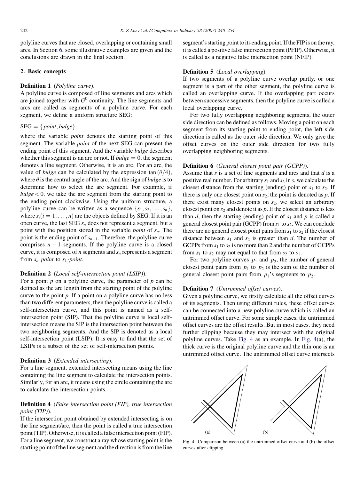polyline curves that are closed, overlapping or containing small arcs. In Section 6, some illustrative examples are given and the conclusions are drawn in the final section.

# 2. Basic concepts

#### Definition 1 (Polyline curve).

A polyline curve is composed of line segments and arcs which are joined together with  $G^0$  continuity. The line segments and arcs are called as segments of a polyline curve. For each segment, we define a uniform structure SEG:

## $SEG = \{ point, bulge\}$

where the variable *point* denotes the starting point of this segment. The variable point of the next SEG can present the ending point of this segment. And the variable bulge describes whether this segment is an arc or not. If  $bulge = 0$ , the segment denotes a line segment. Otherwise, it is an arc. For an arc, the value of *bulge* can be calculated by the expression tan  $(\theta/4)$ , where  $\theta$  is the central angle of the arc. And the sign of *bulge* is to determine how to select the arc segment. For example, if  $bulge < 0$ , we take the arc segment from the starting point to the ending point clockwise. Using the uniform structure, a polyline curve can be written as a sequence  $\{s_1, s_2, \ldots, s_n\}$ , where  $s_i$  ( $i = 1, \ldots, n$ ) are the objects defined by SEG. If it is an open curve, the last SEG  $s_n$  does not represent a segment, but a point with the position stored in the variable *point* of  $s_n$ . The point is the ending point of  $s_{n-1}$ . Therefore, the polyline curve comprises  $n - 1$  segments. If the polyline curve is a closed curve, it is composed of  $n$  segments and  $s_n$  represents a segment from  $s_n$  *point* to  $s_1$  *point*.

#### Definition 2 (Local self-intersection point (LSIP)).

For a point  $p$  on a polyline curve, the parameter of  $p$  can be defined as the arc length from the starting point of the polyline curve to the point  $p$ . If a point on a polyline curve has no less than two different parameters, then the polyline curve is called a self-intersection curve, and this point is named as a selfintersection point (SIP). That the polyline curve is local selfintersection means the SIP is the intersection point between the two neighboring segments. And the SIP is denoted as a local self-intersection point (LSIP). It is easy to find that the set of LSIPs is a subset of the set of self-intersection points.

#### Definition 3 (Extended intersecting).

For a line segment, extended intersecting means using the line containing the line segment to calculate the intersection points. Similarly, for an arc, it means using the circle containing the arc to calculate the intersection points.

# Definition 4 (False intersection point (FIP), true intersection point (TIP)).

If the intersection point obtained by extended intersecting is on the line segment/arc, then the point is called a true intersection point (TIP). Otherwise, it is called a false intersection point (FIP). For a line segment, we construct a ray whose starting point is the starting point of the line segment and the direction is from the line segment's starting point to its ending point. If the FIP is on the ray, it is called a positive false intersection point (PFIP). Otherwise, it is called as a negative false intersection point (NFIP).

# Definition 5 (Local overlapping).

If two segments of a polyline curve overlap partly, or one segment is a part of the other segment, the polyline curve is called an overlapping curve. If the overlapping part occurs between successive segments, then the polyline curve is called a local overlapping curve.

For two fully overlapping neighboring segments, the outer side direction can be defined as follows. Moving a point on each segment from its starting point to ending point, the left side direction is called as the outer side direction. We only give the offset curves on the outer side direction for two fully overlapping neighboring segments.

# Definition 6 (General closest point pair (GCPP)).

Assume that  $s$  is a set of line segments and arcs and that  $d$  is a positive real number. For arbitrary  $s_1$  and  $s_2$  in s, we calculate the closest distance from the starting (ending) point of  $s_1$  to  $s_2$ . If there is only one closest point on  $s_2$ , the point is denoted as p. If there exist many closest points on  $s_2$ , we select an arbitrary closest point on  $s_2$  and denote it as p. If the closest distance is less than d, then the starting (ending) point of  $s_1$  and p is called a general closest point pair (GCPP) from  $s_1$  to  $s_2$ . We can conclude there are no general closest point pairs from  $s_1$  to  $s_2$  if the closest distance between  $s_1$  and  $s_2$  is greater than d. The number of GCPPs from  $s_1$  to  $s_2$  is no more than 2 and the number of GCPPs from  $s_1$  to  $s_2$  may not equal to that from  $s_2$  to  $s_1$ .

For two polyline curves  $p_1$  and  $p_2$ , the number of general closest point pairs from  $p_1$  to  $p_2$  is the sum of the number of general closest point pairs from  $p_1$ 's segments to  $p_2$ .

# Definition 7 (Untrimmed offset curves).

Given a polyline curve, we firstly calculate all the offset curves of its segments. Then using different rules, these offset curves can be connected into a new polyline curve which is called an untrimmed offset curve. For some simple cases, the untrimmed offset curves are the offset results. But in most cases, they need further clipping because they may intersect with the original polyline curves. Take Fig. 4 as an example. In Fig. 4(a), the thick curve is the original polyline curve and the thin one is an untrimmed offset curve. The untrimmed offset curve intersects



Fig. 4. Comparison between (a) the untrimmed offset curve and (b) the offset curves after clipping.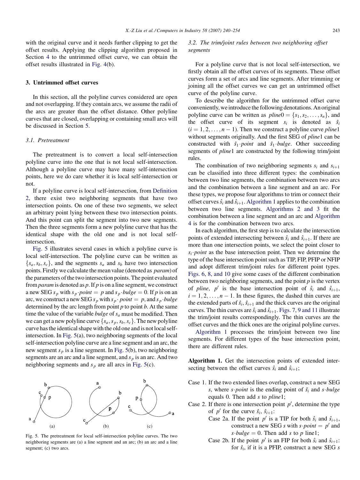with the original curve and it needs further clipping to get the offset results. Applying the clipping algorithm proposed in Section 4 to the untrimmed offset curve, we can obtain the offset results illustrated in Fig. 4(b).

#### 3. Untrimmed offset curves

In this section, all the polyline curves considered are open and not overlapping. If they contain arcs, we assume the radii of the arcs are greater than the offset distance. Other polyline curves that are closed, overlapping or containing small arcs will be discussed in Section 5.

#### 3.1. Pretreatment

The pretreatment is to convert a local self-intersection polyline curve into the one that is not local self-intersection. Although a polyline curve may have many self-intersection points, here we do care whether it is local self-intersection or not.

If a polyline curve is local self-intersection, from Definition 2, there exist two neighboring segments that have two intersection points. On one of these two segments, we select an arbitrary point lying between these two intersection points. And this point can split the segment into two new segments. Then the three segments form a new polyline curve that has the identical shape with the old one and is not local selfintersection.

Fig. 5 illustrates several cases in which a polyline curve is local self-intersection. The polyline curve can be written as  $\{s_a, s_b, s_c\}$ , and the segments  $s_a$  and  $s_b$  have two intersection points. Firstly we calculate the mean value (denoted as param) of the parameters of the two intersection points. The point evaluated from *param* is denoted as p. If p is on a line segment, we construct a new SEG  $s_p$  with  $s_p$  point  $=$  p and  $s_p$  bulge  $=$  0. If p is on an arc, we construct a new SEG  $s_p$  with  $s_p \cdot point = p$ , and  $s_p \cdot bulge$ determined by the arc length from point  $p$  to point  $b$ . At the same time the value of the variable *bulge* of  $s_a$  must be modified. Then we can get a new polyline curve  $\{s_a, s_p, s_b, s_c\}$ . The new polyline curve has the identical shape with the old one and is not local selfintersection. In Fig. 5(a), two neighboring segments of the local self-intersection polyline curve are a line segment and an arc, the new segment  $s_p$  is a line segment. In Fig. 5(b), two neighboring segments are an arc and a line segment, and  $s_p$  is an arc. And two neighboring segments and  $s_p$  are all arcs in Fig. 5(c).



Fig. 5. The pretreatment for local self-intersection polyline curves. The two neighboring segments are (a) a line segment and an arc; (b) an arc and a line segment; (c) two arcs.

# 3.2. The trim/joint rules between two neighboring offset segments

For a polyline curve that is not local self-intersection, we firstly obtain all the offset curves of its segments. These offset curves form a set of arcs and line segments. After trimming or joining all the offset curves we can get an untrimmed offset curve of the polyline curve.

To describe the algorithm for the untrimmed offset curve conveniently, weintroduce the following denotations. An original polyline curve can be written as  $plane0 = \{s_1, s_2, \ldots, s_n\}$ , and the offset curve of its segment  $s_i$  is denoted as  $\hat{s_i}$  $(i = 1, 2, \ldots, n - 1)$ . Then we construct a polyline curve *pline*1 without segments originally. And the first SEG of *pline*1 can be constructed with  $\hat{s}_1$  *point* and  $\hat{s}_1$  *bulge*. Other succeeding segments of pline1 are constructed by the following trim/joint rules.

The combination of two neighboring segments  $s_i$  and  $s_{i+1}$ can be classified into three different types: the combination between two line segments, the combination between two arcs and the combination between a line segment and an arc. For these types, we propose four algorithms to trim or connect their offset curves  $\hat{s}_i$  and  $\hat{s}_{i+1}$ . Algorithm 1 applies to the combination between two line segments. Algorithms 2 and 3 fit the combination between a line segment and an arc and Algorithm 4 is for the combination between two arcs.

In each algorithm, the first step is to calculate the intersection points of extended intersecting between  $\hat{s}_i$  and  $\hat{s}_{i+1}$ . If there are more than one intersection points, we select the point closer to  $s_i$  *point* as the base intersection point. Then we determine the type of the base intersection point such as TIP, FIP, PFIP or NFIP and adopt different trim/joint rules for different point types. Figs. 6, 8, and 10 give some cases of the different combination between two neighboring segments, and the point  $p$  is the vertex of pline, p' is the base intersection point of  $\hat{s}_i$  and  $\hat{s}_{i+1}$ ,  $i = 1, 2, \dots, n - 1$ . In these figures, the dashed thin curves are the extended parts of  $\hat{s}_i$ ,  $\hat{s}_{i+1}$  and the thick curves are the original curves. The thin curves are  $\hat{s}_i$  and  $\hat{s}_{i+1}$ . Figs. 7, 9 and 11 illustrate the trim/joint results correspondingly. The thin curves are the offset curves and the thick ones are the original polyline curves.

Algorithm 1 processes the trim/joint between two line segments. For different types of the base intersection point, there are different rules.

Algorithm 1. Get the intersection points of extended intersecting between the offset curves  $\hat{s}_i$  and  $\hat{s}_{i+1}$ ;

- Case 1. If the two extended lines overlap, construct a new SEG s, where s *point* is the ending point of  $\hat{s}_i$  and s *bulge* equals 0. Then add s to pline1;
- Case 2. If there is one intersection point  $p'$ , determine the type of p' for the curve  $\hat{s}_i$ ,  $\hat{s}_{i+1}$ :
	- Case 2a. If the point  $p'$  is a TIP for both  $\hat{s}_i$  and  $\hat{s}_{i+1}$ , construct a new SEG s with  $s$  *point* =  $p'$  and s bulge = 0. Then add s to p line1;
	- Case 2b. If the point p' is an FIP for both  $\hat{s}_i$  and  $\hat{s}_{i+1}$ : for  $\hat{s}_i$ , if it is a PFIP, construct a new SEG s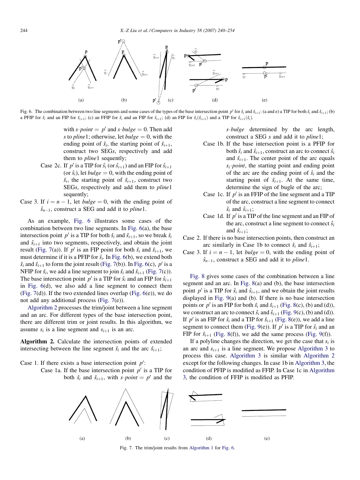

Fig. 6. The combination between two line segments and some cases of the types of the base intersection point p' for  $\hat{s}_i$  and  $\hat{s}_{i+1}$ : (a and e) a TIP for both  $\hat{s}_i$  and  $\hat{s}_{i+1}$ ; (b) a PFIP for  $\hat{s}_i$  and an FIP for  $\hat{s}_{i+1}$ ; (c) an FFIP for  $\hat{s}_i$  and an FIP for  $\hat{s}_{i+1}$ ; (d) an FIP for  $\hat{s}_i(\hat{s}_{i+1})$  and a TIP for  $\hat{s}_{i+1}(\hat{s}_i)$ .

with  $s\cdot point = p'$  and  $s\cdot bulge = 0$ . Then add s to *pline*1; otherwise, let *bulge*  $= 0$ , with the ending point of  $\hat{s}_i$ , the starting point of  $\hat{s}_{i+1}$ , construct two SEGs, respectively and add them to *pline*1 sequently;

- Case 2c. If p' is a TIP for  $\hat{s}_i$  (or  $\hat{s}_{i+1}$ ) and an FIP for  $\hat{s}_{i+1}$ (or  $\hat{s}_i$ ), let *bulge* = 0, with the ending point of  $\hat{s}_i$ , the starting point of  $\hat{s}_{i+1}$ , construct two SEGs, respectively and add them to pline1 sequently;
- Case 3. If  $i = n 1$ , let *bulge* = 0, with the ending point of  $\hat{s}_{n-1}$ , construct a SEG and add it to *pline*1.

As an example, Fig. 6 illustrates some cases of the combination between two line segments. In Fig. 6(a), the base intersection point p' is a TIP for both  $\hat{s}_i$  and  $\hat{s}_{i+1}$ , so we break  $\hat{s}_i$ and  $\hat{s}_{i+1}$  into two segments, respectively, and obtain the joint result (Fig. 7(a)). If p' is an FIP point for both  $\hat{s}_i$  and  $\hat{s}_{i+1}$ , we must determine if it is a PFIP for  $\hat{s}_i$ . In Fig. 6(b), we extend both  $\hat{s}_i$  and  $\hat{s}_{i+1}$  to form the joint result (Fig. 7(b)). In Fig. 6(c),  $p'$  is a NFIP for  $\hat{s}_i$ , we add a line segment to join  $\hat{s}_i$  and  $\hat{s}_{i+1}$  (Fig. 7(c)). The base intersection point p' is a TIP for  $\hat{s}_i$  and an FIP for  $\hat{s}_{i+1}$ in Fig. 6(d), we also add a line segment to connect them (Fig. 7(d)). If the two extended lines overlap (Fig. 6(e)), we do not add any additional process (Fig. 7(e)).

Algorithm 2 processes the trim/joint between a line segment and an arc. For different types of the base intersection point, there are different trim or joint results. In this algorithm, we assume  $s_i$  is a line segment and  $s_{i+1}$  is an arc.

Algorithm 2. Calculate the intersection points of extended intersecting between the line segment  $\hat{s}_i$  and the arc  $\hat{s}_{i+1}$ ;

Case 1. If there exists a base intersection point  $p'$ :

Case 1a. If the base intersection point  $p'$  is a TIP for both  $\hat{s}_i$  and  $\hat{s}_{i+1}$ , with s *point* = p' and the  $s \cdot bulge$  determined by the arc length, construct a SEG s and add it to pline1;

- Case 1b. If the base intersection point is a PFIP for both  $\hat{s}_i$  and  $\hat{s}_{i+1}$ , construct an arc to connect  $\hat{s}_i$ and  $\hat{s}_{i+1}$ . The center point of the arc equals  $s_i$  *point*, the starting point and ending point of the arc are the ending point of  $\hat{s}_i$  and the starting point of  $\hat{s}_{i+1}$ . At the same time, determine the sign of bugle of the arc;
- Case 1c. If  $p'$  is an FFIP of the line segment and a TIP of the arc, construct a line segment to connect  $\hat{s_i}$  and  $\hat{s}_{i+1}$ ;
- Case 1d. If  $p'$  is a TIP of the line segment and an FIP of the arc, construct a line segment to connect  $\hat{s_i}$ and  $\hat{s}_{i+1}$ ;
- Case 2. If there is no base intersection points, then construct an arc similarly in Case 1b to connect  $\hat{s}_i$  and  $\hat{s}_{i+1}$ ;
- Case 3. If  $i = n 1$ , let  $bulge = 0$ , with the ending point of  $\hat{s}_{n-1}$ , construct a SEG and add it to *pline*1.

Fig. 8 gives some cases of the combination between a line segment and an arc. In Fig. 8(a) and (b), the base intersection point p' is a TIP for  $\hat{s}_i$  and  $\hat{s}_{i+1}$ , and we obtain the joint results displayed in Fig. 9(a) and (b). If there is no base intersection points or p' is an FIP for both  $\hat{s}_i$  and  $\hat{s}_{i+1}$  (Fig. 8(c), (b) and (d)), we construct an arc to connect  $\hat{s}_i$  and  $\hat{s}_{i+1}$  (Fig. 9(c), (b) and (d)). If p' is an FIP for  $\hat{s}_i$  and a TIP for  $\hat{s}_{i+1}$  (Fig. 8(e)), we add a line segment to connect them (Fig. 9(e)). If  $p'$  is a TIP for  $\hat{s}_i$  and an FIP for  $\hat{s}_{i+1}$  (Fig. 8(f)), we add the same process (Fig. 9(f)).

If a polyline changes the direction, we get the case that  $s_i$  is an arc and  $s_{i+1}$  is a line segment. We propose Algorithm 3 to process this case. Algorithm 3 is similar with Algorithm 2 except for the following changes. In case 1b in Algorithm 3, the condition of PFIP is modified as FFIP. In Case 1c in Algorithm 3, the condition of FFIP is modified as PFIP.



Fig. 7. The trim/joint results from Algorithm 1 for Fig. 6.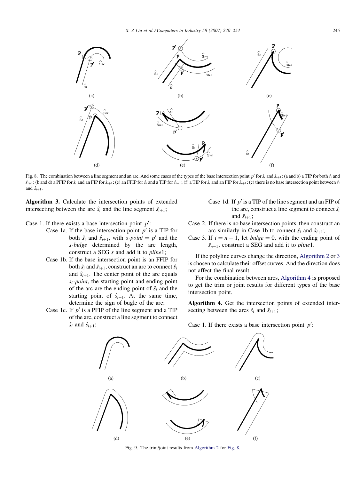

Fig. 8. The combination between a line segment and an arc. And some cases of the types of the base intersection point p' for  $\hat{s}_i$  and  $\hat{s}_{i+1}$ : (a and b) a TIP for both  $\hat{s}_i$  and  $\hat{s}_{i+1}$ ; (b and d) a PFIP for  $\hat{s}_i$  and an FIP for  $\hat{s}_{i+1}$ ; (e) an FFIP for  $\hat{s}_i$  and a TIP for  $\hat{s}_{i+1}$ ; (f) a TIP for  $\hat{s}_i$  and an FIP for  $\hat{s}_{i+1}$ ; (e) there is no base intersection point between  $\hat{s}_i$ and  $\hat{s}_{i+1}$ .

Algorithm 3. Calculate the intersection points of extended intersecting between the arc  $\hat{s}_i$  and the line segment  $\hat{s}_{i+1}$ ;

# Case 1. If there exists a base intersection point  $p'$ :

- Case 1a. If the base intersection point  $p'$  is a TIP for both  $\hat{s}_i$  and  $\hat{s}_{i+1}$ , with  $s\cdot point = p'$  and the  $s \cdot bulge$  determined by the arc length, construct a SEG s and add it to pline1;
- Case 1b. If the base intersection point is an FFIP for both  $\hat{s}_i$  and  $\hat{s}_{i+1}$ , construct an arc to connect  $\hat{s}_i$ and  $\hat{s}_{i+1}$ . The center point of the arc equals  $s_i$  *point*, the starting point and ending point of the arc are the ending point of  $\hat{s}_i$  and the starting point of  $\hat{s}_{i+1}$ . At the same time, determine the sign of bugle of the arc;
- Case 1c. If  $p'$  is a PFIP of the line segment and a TIP of the arc, construct a line segment to connect
- Case 1d. If  $p'$  is a TIP of the line segment and an FIP of the arc, construct a line segment to connect  $\hat{s_i}$ and  $\hat{s}_{i+1}$ ;
- Case 2. If there is no base intersection points, then construct an arc similarly in Case 1b to connect  $\hat{s}_i$  and  $\hat{s}_{i+1}$ ;
- Case 3. If  $i = n 1$ , let *bulge* = 0, with the ending point of  $\hat{s}_{n-1}$ , construct a SEG and add it to *pline*1.

If the polyline curves change the direction, Algorithm 2 or 3 is chosen to calculate their offset curves. And the direction does not affect the final result.

For the combination between arcs, Algorithm 4 is proposed to get the trim or joint results for different types of the base intersection point.

Algorithm 4. Get the intersection points of extended intersecting between the arcs  $\hat{s}_i$  and  $\hat{s}_{i+1}$ ;

 $\hat{s}_i$  and  $\hat{s}_{i+1}$ ;





Fig. 9. The trim/joint results from Algorithm 2 for Fig. 8.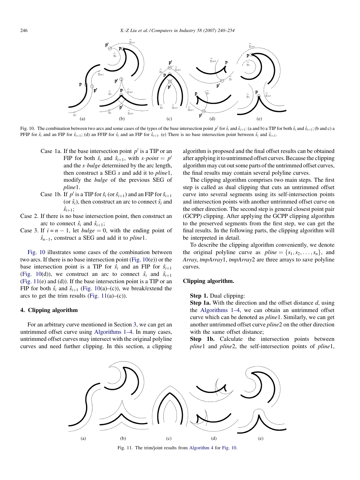

Fig. 10. The combination between two arcs and some cases of the types of the base intersection point p' for  $\hat{s}_i$  and  $\hat{s}_{i+1}$ : (a and b) a TIP for both  $\hat{s}_i$  and  $\hat{s}_{i+1}$ ; (b and c) a PFIP for  $\hat{s}_i$  and an FIP for  $\hat{s}_{i+1}$ ; (d) an FFIP for  $\hat{s}_i$  and an FIP for  $\hat{s}_{i+1}$ . (e) There is no base intersection point between  $\hat{s}_i$  and  $\hat{s}_{i+1}$ .

- Case 1a. If the base intersection point  $p'$  is a TIP or an FIP for both  $\hat{s}_i$  and  $\hat{s}_{i+1}$ , with  $s\cdot point = p'$ and the  $s \cdot bulge$  determined by the arc length, then construct a SEG s and add it to pline1, modify the bulge of the previous SEG of pline1.
- Case 1b. If p' is a TIP for  $\hat{s}_i$  (or  $\hat{s}_{i+1}$ ) and an FIP for  $\hat{s}_{i+1}$ (or  $\hat{s}_i$ ), then construct an arc to connect  $\hat{s}_i$  and  $\hat{s}_{i+1}$ ;
- Case 2. If there is no base intersection point, then construct an arc to connect  $\hat{s}_i$  and  $\hat{s}_{i+1}$ ;
- Case 3. If  $i = n 1$ , let  $bulge = 0$ , with the ending point of  $\hat{s}_{n-1}$ , construct a SEG and add it to *pline*1.

Fig. 10 illustrates some cases of the combination between two arcs. If there is no base intersection point (Fig.  $10(e)$ ) or the base intersection point is a TIP for  $\hat{s}_i$  and an FIP for  $\hat{s}_{i+1}$ (Fig. 10(d)), we construct an arc to connect  $\hat{s}_i$  and  $\hat{s}_{i+1}$ (Fig. 11(e) and (d)). If the base intersection point is a TIP or an FIP for both  $\hat{s}_i$  and  $\hat{s}_{i+1}$  (Fig. 10(a)–(c)), we break/extend the arcs to get the trim results (Fig.  $11(a)$ –(c)).

# 4. Clipping algorithm

For an arbitrary curve mentioned in Section 3, we can get an untrimmed offset curve using Algorithms 1–4. In many cases, untrimmed offset curves may intersect with the original polyline curves and need further clipping. In this section, a clipping algorithm is proposed and the final offset results can be obtained after applying it to untrimmed offset curves. Because the clipping algorithm may cut out some parts of the untrimmed offset curves, the final results may contain several polyline curves.

The clipping algorithm comprises two main steps. The first step is called as dual clipping that cuts an untrimmed offset curve into several segments using its self-intersection points and intersection points with another untrimmed offset curve on the other direction. The second step is general closest point pair (GCPP) clipping. After applying the GCPP clipping algorithm to the preserved segments from the first step, we can get the final results. In the following parts, the clipping algorithm will be interpreted in detail.

To describe the clipping algorithm conveniently, we denote the original polyline curve as  $plane = \{s_1, s_2, \ldots, s_n\}$ , and Array, tmpArray1, tmpArray2 are three arrays to save polyline curves.

# Clipping algorithm.

Step 1. Dual clipping:

**Step 1a.** With the direction and the offset distance  $d$ , using the Algorithms 1–4, we can obtain an untrimmed offset curve which can be denoted as pline1. Similarly, we can get another untrimmed offset curve pline2 on the other direction with the same offset distance;

Step 1b. Calculate the intersection points between pline1 and pline2, the self-intersection points of pline1,



Fig. 11. The trim/joint results from Algorithm 4 for Fig. 10.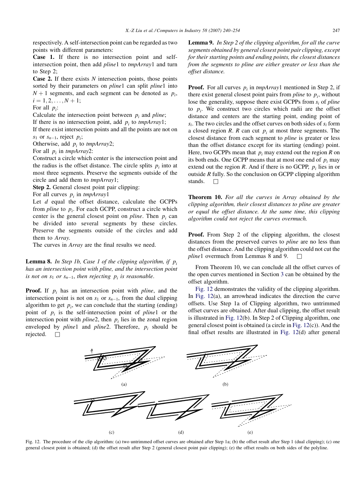respectively. A self-intersection point can be regarded as two points with different parameters:

Case 1. If there is no intersection point and selfintersection point, then add pline1 to tmpArray1 and turn to Step 2;

**Case 2.** If there exists  $N$  intersection points, those points sorted by their parameters on *pline1* can split *pline1* into  $N+1$  segments, and each segment can be denoted as  $p_i$ ,  $i = 1, 2, \ldots, N + 1;$ 

For all  $p_i$ :

Calculate the intersection point between  $p_i$  and pline;

If there is no intersection point, add  $p_i$  to *tmpArray1*;

If there exist intersection points and all the points are not on  $s_1$  or  $s_{n-1}$ , reject  $p_i$ ;

Otherwise, add  $p_i$  to tmpArray2;

For all  $p_i$  in tmpArray2:

Construct a circle which center is the intersection point and the radius is the offset distance. The circle splits  $p_i$  into at most three segments. Preserve the segments outside of the circle and add them to tmpArray1;

Step 2. General closest point pair clipping:

For all curves  $p_i$  in tmpArray1

Let  $d$  equal the offset distance, calculate the GCPPs from *pline* to  $p_i$ . For each GCPP, construct a circle which center is the general closest point on *pline*. Then  $p_i$  can be divided into several segments by these circles. Preserve the segments outside of the circles and add them to Array.

The curves in Array are the final results we need.

**Lemma 8.** In Step 1b, Case 1 of the clipping algorithm, if  $p_i$ has an intersection point with pline, and the intersection point is not on  $s_1$  or  $s_{n-1}$ , then rejecting  $p_i$  is reasonable.

**Proof.** If  $p_i$  has an intersection point with *pline*, and the intersection point is not on  $s_1$  or  $s_{n-1}$ , from the dual clipping algorithm to get  $p_i$ , we can conclude that the starting (ending) point of  $p_i$  is the self-intersection point of pline1 or the intersection point with  $plane2$ , then  $p_i$  lies in the zonal region enveloped by *pline1* and *pline2*. Therefore,  $p_i$  should be rejected.  $\square$ 

Lemma 9. In Step 2 of the clipping algorithm, for all the curve segments obtained by general closest point pair clipping, except for their starting points and ending points, the closest distances from the segments to pline are either greater or less than the offset distance.

**Proof.** For all curves  $p_i$  in tmpArray1 mentioned in Step 2, if there exist general closest point pairs from *pline* to  $p_i$ , without lose the generality, suppose there exist GCPPs from  $s_i$  of pline to  $p_i$ . We construct two circles which radii are the offset distance and centers are the starting point, ending point of  $s_i$ . The two circles and the offset curves on both sides of  $s_i$  form a closed region R. R can cut  $p_i$  at most three segments. The closest distance from each segment to pline is greater or less than the offset distance except for its starting (ending) point. Here, two GCPPs mean that  $p_i$  may extend out the region R on its both ends. One GCPP means that at most one end of  $p_i$  may extend out the region  $R$ . And if there is no GCPP,  $p_i$  lies in or outside R fully. So the conclusion on GCPP clipping algorithm stands.  $\Box$ 

Theorem 10. For all the curves in Array obtained by the clipping algorithm, their closest distances to pline are greater or equal the offset distance. At the same time, this clipping algorithm could not reject the curves overmuch.

Proof. From Step 2 of the clipping algorithm, the closest distances from the preserved curves to pline are no less than the offset distance. And the clipping algorithm could not cut the *pline*1 overmuch from Lemmas 8 and 9.  $\Box$ 

From Theorem 10, we can conclude all the offset curves of the open curves mentioned in Section 3 can be obtained by the offset algorithm.

Fig. 12 demonstrates the validity of the clipping algorithm. In Fig. 12(a), an arrowhead indicates the direction the curve offsets. Use Step 1a of Clipping algorithm, two untrimmed offset curves are obtained. After dual clipping, the offset result is illustrated in Fig. 12(b). In Step 2 of Clipping algorithm, one general closest point is obtained (a circle in Fig. 12(c)). And the final offset results are illustrated in Fig. 12(d) after general



Fig. 12. The procedure of the clip algorithm: (a) two untrimmed offset curves are obtained after Step 1a; (b) the offset result after Step 1 (dual clipping); (c) one general closest point is obtained; (d) the offset result after Step 2 (general closest point pair clipping); (e) the offset results on both sides of the polyline.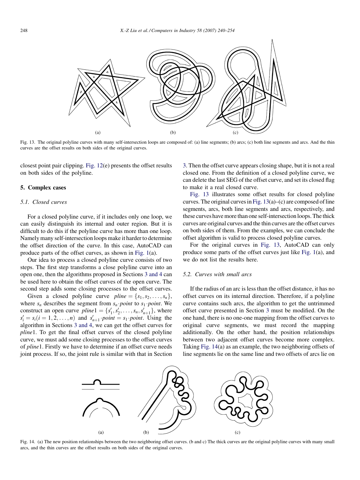

Fig. 13. The original polyline curves with many self-intersection loops are composed of: (a) line segments; (b) arcs; (c) both line segments and arcs. And the thin curves are the offset results on both sides of the original curves.

closest point pair clipping. Fig. 12(e) presents the offset results on both sides of the polyline.

#### 5. Complex cases

#### 5.1. Closed curves

For a closed polyline curve, if it includes only one loop, we can easily distinguish its internal and outer region. But it is difficult to do this if the polyline curve has more than one loop. Namely many self-intersection loops make it harder to determine the offset direction of the curve. In this case, AutoCAD can produce parts of the offset curves, as shown in Fig. 1(a).

Our idea to process a closed polyline curve consists of two steps. The first step transforms a close polyline curve into an open one, then the algorithms proposed in Sections 3 and 4 can be used here to obtain the offset curves of the open curve. The second step adds some closing processes to the offset curves.

Given a closed polyline curve  $pline = \{s_1, s_2, \ldots, s_n\},\$ where  $s_n$  describes the segment from  $s_n$  point to  $s_1$  point. We construct an open curve  $pline1 = \{s'_1, s'_2, \ldots, s_n, s'_{n+1}\}\text{, where}$  $s_i' = s_i (i = 1, 2, \dots, n)$  and  $s_{n+1}' \cdot point = s_1 \cdot point$ . Using the algorithm in Sections 3 and 4, we can get the offset curves for pline1. To get the final offset curves of the closed polyline curve, we must add some closing processes to the offset curves of pline1. Firstly we have to determine if an offset curve needs joint process. If so, the joint rule is similar with that in Section 3. Then the offset curve appears closing shape, but it is not a real closed one. From the definition of a closed polyline curve, we can delete the last SEG of the offset curve, and set its closed flag to make it a real closed curve.

Fig. 13 illustrates some offset results for closed polyline curves. The original curves in Fig. 13(a)–(c) are composed of line segments, arcs, both line segments and arcs, respectively, and these curves have more than one self-intersection loops. The thick curves are original curves and the thin curves are the offset curves on both sides of them. From the examples, we can conclude the offset algorithm is valid to process closed polyline curves.

For the original curves in Fig. 13, AutoCAD can only produce some parts of the offset curves just like Fig. 1(a), and we do not list the results here.

#### 5.2. Curves with small arcs

If the radius of an arc is less than the offset distance, it has no offset curves on its internal direction. Therefore, if a polyline curve contains such arcs, the algorithm to get the untrimmed offset curve presented in Section 3 must be modified. On the one hand, there is no one-one mapping from the offset curves to original curve segments, we must record the mapping additionally. On the other hand, the position relationships between two adjacent offset curves become more complex. Taking Fig. 14(a) as an example, the two neighboring offsets of line segments lie on the same line and two offsets of arcs lie on



Fig. 14. (a) The new position relationships between the two neighboring offset curves. (b and c) The thick curves are the original polyline curves with many small arcs, and the thin curves are the offset results on both sides of the original curves.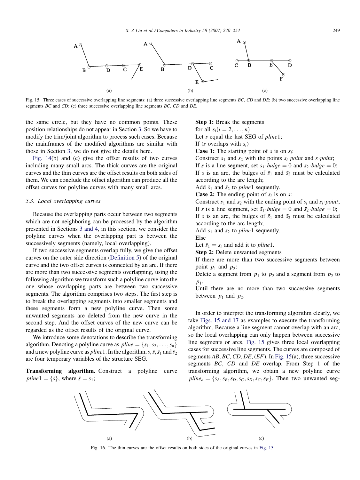

Fig. 15. Three cases of successive overlapping line segments: (a) three successive overlapping line segments BC, CD and DE; (b) two successive overlapping line segments BC and CD; (c) three successive overlapping line segments BC, CD and DE.

the same circle, but they have no common points. These position relationships do not appear in Section 3. So we have to modify the trim/joint algorithm to process such cases. Because the mainframes of the modified algorithms are similar with those in Section 3, we do not give the details here.

Fig. 14(b) and (c) give the offset results of two curves including many small arcs. The thick curves are the original curves and the thin curves are the offset results on both sides of them. We can conclude the offset algorithm can produce all the offset curves for polyline curves with many small arcs.

#### 5.3. Local overlapping curves

Because the overlapping parts occur between two segments which are not neighboring can be processed by the algorithm presented in Sections 3 and 4, in this section, we consider the polyline curves when the overlapping part is between the successively segments (namely, local overlapping).

If two successive segments overlap fully, we give the offset curves on the outer side direction (Definition 5) of the original curve and the two offset curves is connected by an arc. If there are more than two successive segments overlapping, using the following algorithm we transform such a polyline curve into the one whose overlapping parts are between two successive segments. The algorithm comprises two steps. The first step is to break the overlapping segments into smaller segments and these segments form a new polyline curve. Then some unwanted segments are deleted from the new curve in the second step. And the offset curves of the new curve can be regarded as the offset results of the original curve.

We introduce some denotations to describe the transforming algorithm. Denoting a polyline curve as  $plane = \{s_1, s_2, \ldots, s_n\}$ and a new polyline curve as *pline* 1. In the algorithm, s,  $\bar{s}$ ,  $\bar{s}_1$  and  $\bar{s}_2$ are four temporary variables of the structure SEG.

Transforming algorithm. Construct a polyline curve  $pline1 = {\bar{s}}$ , where  $\bar{s} = s_1$ ;

#### Step 1: Break the segments

for all  $s_i(i = 2, \ldots, n)$ 

Let s equal the last SEG of *pline*1;

If (s overlaps with  $s_i$ )

**Case 1:** The starting point of s is on  $s_i$ :

Construct  $\bar{s}_1$  and  $\bar{s}_2$  with the points  $s_i$  *point* and *s point*; If s is a line segment, set  $\bar{s}_1 \cdot bulge = 0$  and  $\bar{s}_2 \cdot bulge = 0$ ; If s is an arc, the bulges of  $\bar{s}_1$  and  $\bar{s}_2$  must be calculated

according to the arc length; Add  $\bar{s}_1$  and  $\bar{s}_2$  to *pline*1 sequently.

**Case 2:** The ending point of  $s_i$  is on s:

Construct  $\bar{s}_1$  and  $\bar{s}_2$  with the ending point of  $s_i$  and  $s_i$  point; If s is a line segment, set  $\bar{s}_1$  bulge = 0 and  $\bar{s}_2$  bulge = 0; If s is an arc, the bulges of  $\bar{s}_1$  and  $\bar{s}_2$  must be calculated according to the arc length;

Add  $\bar{s}_1$  and  $\bar{s}_2$  to *pline*1 sequently.

Else

Let  $\bar{s}_1 = s_i$  and add it to *pline*1.

Step 2: Delete unwanted segments

If there are more than two successive segments between point  $p_1$  and  $p_2$ :

Delete a segment from  $p_1$  to  $p_2$  and a segment from  $p_2$  to  $p_1$ .

Until there are no more than two successive segments between  $p_1$  and  $p_2$ .

In order to interpret the transforming algorithm clearly, we take Figs. 15 and 17 as examples to execute the transforming algorithm. Because a line segment cannot overlap with an arc, so the local overlapping can only happen between successive line segments or arcs. Fig. 15 gives three local overlapping cases for successive line segments. The curves are composed of segments  $AB, BC, CD, DE, (EF)$ . In Fig. 15(a), three successive segments BC, CD and DE overlap. From Step 1 of the transforming algorithm, we obtain a new polyline curve  $pline_a = \{s_A, s_B, s_D, s_C, s_D, s_C, s_E\}.$  Then two unwanted seg-



Fig. 16. The thin curves are the offset results on both sides of the original curves in Fig. 15.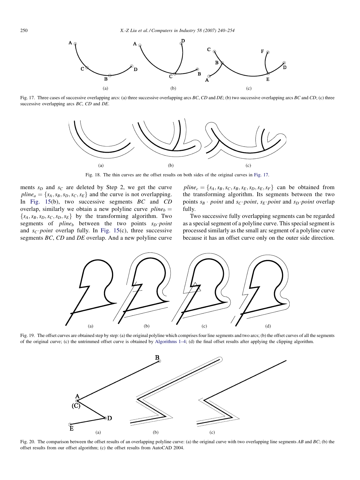

Fig. 17. Three cases of successive overlapping arcs: (a) three successive overlapping arcs BC, CD and DE; (b) two successive overlapping arcs BC and CD; (c) three successive overlapping arcs BC, CD and DE.



Fig. 18. The thin curves are the offset results on both sides of the original curves in Fig. 17.

ments  $s_D$  and  $s_C$  are deleted by Step 2, we get the curve  $pline_a = \{s_A, s_B, s_D, s_C, s_E\}$  and the curve is not overlapping. In Fig. 15(b), two successive segments  $BC$  and  $CD$ overlap, similarly we obtain a new polyline curve  $pline_b =$  ${s_A,s_B,s_D,s_C,s_D,s_E}$  by the transforming algorithm. Two segments of *pline<sub>b</sub>* between the two points  $s_D$  *point* and  $s_C$  point overlap fully. In Fig. 15(c), three successive segments BC, CD and DE overlap. And a new polyline curve

 $pline_c = \{s_A, s_B, s_C, s_B, s_E, s_D, s_E, s_F\}$  can be obtained from the transforming algorithm. Its segments between the two points  $s_B \cdot point$  and  $s_C$  point,  $s_E$  point and  $s_D$  point overlap fully.

Two successive fully overlapping segments can be regarded as a special segment of a polyline curve. This special segment is processed similarly as the small arc segment of a polyline curve because it has an offset curve only on the outer side direction.



Fig. 19. The offset curves are obtained step by step: (a) the original polyline which comprises four line segments and two arcs; (b) the offset curves of all the segments of the original curve; (c) the untrimmed offset curve is obtained by Algorithms 1–4; (d) the final offset results after applying the clipping algorithm.



Fig. 20. The comparison between the offset results of an overlapping polyline curve: (a) the original curve with two overlapping line segments AB and BC; (b) the offset results from our offset algorithm; (c) the offset results from AutoCAD 2004.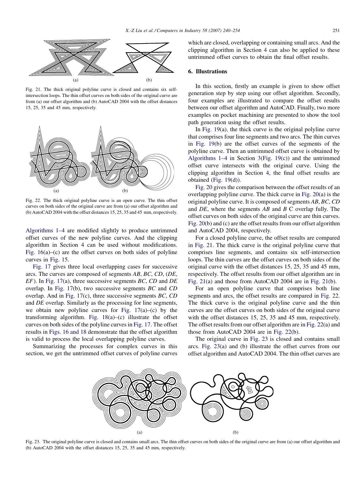

Fig. 21. The thick original polyline curve is closed and contains six selfintersection loops. The thin offset curves on both sides of the original curve are from (a) our offset algorithm and (b) AutoCAD 2004 with the offset distances 15, 25, 35 and 45 mm, respectively.



Fig. 22. The thick original polyline curve is an open curve. The thin offset curves on both sides of the original curve are from (a) our offset algorithm and (b) AutoCAD 2004 with the offset distances 15, 25, 35 and 45 mm, respectively.

Algorithms 1–4 are modified slightly to produce untrimmed offset curves of the new polyline curves. And the clipping algorithm in Section 4 can be used without modifications. Fig. 16(a)–(c) are the offset curves on both sides of polyline curves in Fig. 15.

Fig. 17 gives three local overlapping cases for successive arcs. The curves are composed of segments AB, BC, CD, (DE,  $EF$ ). In Fig. 17(a), three successive segments BC, CD and DE overlap. In Fig. 17(b), two successive segments BC and CD overlap. And in Fig. 17(c), three successive segments BC, CD and DE overlap. Similarly as the processing for line segments, we obtain new polyline curves for Fig.  $17(a)$ –(c) by the transforming algorithm. Fig.  $18(a)$ –(c) illustrate the offset curves on both sides of the polyline curves in Fig. 17. The offset results in Figs. 16 and 18 demonstrate that the offset algorithm is valid to process the local overlapping polyline curves.

Summarizing the processes for complex curves in this section, we get the untrimmed offset curves of polyline curves

which are closed, overlapping or containing small arcs. And the clipping algorithm in Section 4 can also be applied to these untrimmed offset curves to obtain the final offset results.

# 6. Illustrations

In this section, firstly an example is given to show offset generation step by step using our offset algorithm. Secondly, four examples are illustrated to compare the offset results between our offset algorithm and AutoCAD. Finally, two more examples on pocket machining are presented to show the tool path generation using the offset results.

In Fig. 19(a), the thick curve is the original polyline curve that comprises four line segments and two arcs. The thin curves in Fig. 19(b) are the offset curves of the segments of the polyline curve. Then an untrimmed offset curve is obtained by Algorithms  $1-4$  in Section 3(Fig. 19(c)) and the untrimmed offset curve intersects with the original curve. Using the clipping algorithm in Section 4, the final offset results are obtained (Fig. 19(d)).

Fig. 20 gives the comparison between the offset results of an overlapping polyline curve. The thick curve in Fig. 20(a) is the original polyline curve. It is composed of segments AB, BC, CD and DE, where the segments AB and B C overlap fully. The offset curves on both sides of the original curve are thin curves. Fig. 20(b) and (c) are the offset results from our offset algorithm and AutoCAD 2004, respectively.

For a closed polyline curve, the offset results are compared in Fig. 21. The thick curve is the original polyline curve that comprises line segments, and contains six self-intersection loops. The thin curves are the offset curves on both sides of the original curve with the offset distances 15, 25, 35 and 45 mm, respectively. The offset results from our offset algorithm are in Fig. 21(a) and those from AutoCAD 2004 are in Fig. 21(b).

For an open polyline curve that comprises both line segments and arcs, the offset results are compared in Fig. 22. The thick curve is the original polyline curve and the thin curves are the offset curves on both sides of the original curve with the offset distances 15, 25, 35 and 45 mm, respectively. The offset results from our offset algorithm are in Fig. 22(a) and those from AutoCAD 2004 are in Fig. 22(b).

The original curve in Fig. 23 is closed and contains small arcs. Fig. 23(a) and (b) illustrate the offset curves from our offset algorithm and AutoCAD 2004. The thin offset curves are



Fig. 23. The original polyline curve is closed and contains small arcs. The thin offset curves on both sides of the original curve are from (a) our offset algorithm and (b) AutoCAD 2004 with the offset distances 15, 25, 35 and 45 mm, respectively.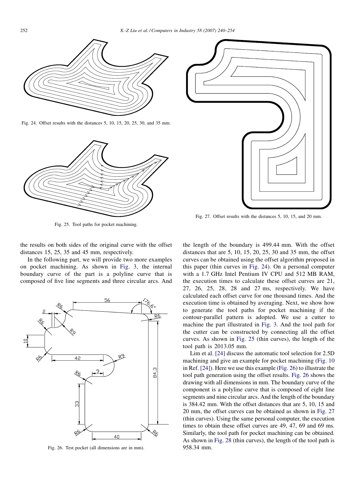

Fig. 24. Offset results with the distances 5, 10, 15, 20, 25, 30, and 35 mm.



Fig. 25. Tool paths for pocket machining.

the results on both sides of the original curve with the offset distances 15, 25, 35 and 45 mm, respectively.

In the following part, we will provide two more examples on pocket machining. As shown in Fig. 3, the internal boundary curve of the part is a polyline curve that is composed of five line segments and three circular arcs. And



Fig. 26. Test pocket (all dimensions are in mm).



Fig. 27. Offset results with the distances 5, 10, 15, and 20 mm.

the length of the boundary is 499.44 mm. With the offset distances that are 5, 10, 15, 20, 25, 30 and 35 mm, the offset curves can be obtained using the offset algorithm proposed in this paper (thin curves in Fig. 24). On a personal computer with a 1.7 GHz Intel Pentium IV CPU and 512 MB RAM, the execution times to calculate these offset curves are 21, 27, 26, 25, 28, 28 and 27 ms, respectively. We have calculated each offset curve for one thousand times. And the execution time is obtained by averaging. Next, we show how to generate the tool paths for pocket machining if the contour-parallel pattern is adopted. We use a cutter to machine the part illustrated in Fig. 3. And the tool path for the cutter can be constructed by connecting all the offset curves. As shown in Fig. 25 (thin curves), the length of the tool path is 2013.05 mm.

Lim et al. [24] discuss the automatic tool selection for 2.5D machining and give an example for pocket machining (Fig. 10 in Ref. [24]). Here we use this example (Fig. 26) to illustrate the tool path generation using the offset results. Fig. 26 shows the drawing with all dimensions in mm. The boundary curve of the component is a polyline curve that is composed of eight line segments and nine circular arcs. And the length of the boundary is 384.42 mm. With the offset distances that are 5, 10, 15 and 20 mm, the offset curves can be obtained as shown in Fig. 27 (thin curves). Using the same personal computer, the execution times to obtain these offset curves are 49, 47, 69 and 69 ms. Similarly, the tool path for pocket machining can be obtained. As shown in Fig. 28 (thin curves), the length of the tool path is 958.34 mm.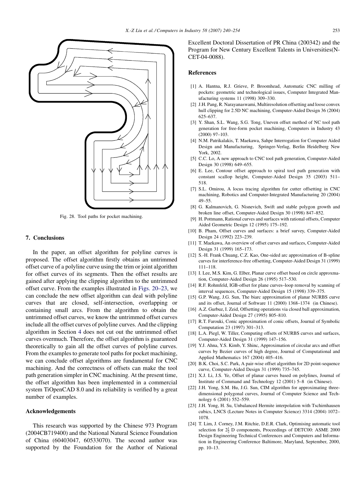

Fig. 28. Tool paths for pocket machining.

### 7. Conclusions

In the paper, an offset algorithm for polyline curves is proposed. The offset algorithm firstly obtains an untrimmed offset curve of a polyline curve using the trim or joint algorithm for offset curves of its segments. Then the offset results are gained after applying the clipping algorithm to the untrimmed offset curve. From the examples illustrated in Figs. 20–23, we can conclude the new offset algorithm can deal with polyline curves that are closed, self-intersection, overlapping or containing small arcs. From the algorithm to obtain the untrimmed offset curves, we know the untrimmed offset curves include all the offset curves of polyline curves. And the clipping algorithm in Section 4 does not cut out the untrimmed offset curves overmuch. Therefore, the offset algorithm is guaranteed theoretically to gain all the offset curves of polyline curves. From the examples to generate tool paths for pocket machining, we can conclude offset algorithms are fundamental for CNC machining. And the correctness of offsets can make the tool path generation simpler in CNC machining. At the present time, the offset algorithm has been implemented in a commercial system TiOpenCAD 8.0 and its reliability is verified by a great number of examples.

# Acknowledgements

This research was supported by the Chinese 973 Program (2004CB719400) and the National Natural Science Foundation of China (60403047, 60533070). The second author was supported by the Foundation for the Author of National Excellent Doctoral Dissertation of PR China (200342) and the Program for New Century Excellent Talents in Universities(N-CET-04-0088).

#### References

- [1] A. Hantna, R.J. Grieve, P. Broomhead, Automatic CNC milling of pockets: geometric and technological issues, Computer Integrated Manufacturing systems 11 (1998) 309–330.
- [2] J.H. Pang, R. Narayanaswami, Multiresolution offsetting and loose convex hull clipping for 2.5D NC machining, Computer-Aided Design 36 (2004) 625–637.
- [3] Y. Shan, S.L. Wang, S.G. Tong, Uneven offset method of NC tool path generation for free-form pocket machining, Computers in Industry 43 (2000) 97–103.
- [4] N.M. Patrikalakis, T. Maekawa, Sahpe Interrogation for Computer Aided Design and Manufacturing, Springer-Verlag, Berlin Heidelberg New York, 2002.
- [5] C.C. Lo, A new approach to CNC tool path generation, Computer-Aided Design 30 (1998) 649–655.
- [6] E. Lee, Contour offset approach to spiral tool path generation with constant scallop height, Computer-Aided Design 35 (2003) 511– 518.
- [7] S.L. Omirou, A locus tracing algorithm for cutter offsetting in CNC machining, Robotics and Computer-Integrated Manufacturing 20 (2004) 49–55.
- [8] G. Kalmanovich, G. Nisnevich, Swift and stable polygon growth and broken line offset, Computer-Aided Design 30 (1998) 847–852.
- [9] H. Pottmann, Rational curves and surfaces with rational offsets, Computer Aided Geometric Design 12 (1995) 175–192.
- [10] B. Pham, Offset curves and surfaces: a brief survey, Computer-Aided Design 24 (1992) 223–239.
- [11] T. Maekawa, An overview of offset curves and surfaces, Computer-Aided Design 31 (1999) 165–173.
- [12] S.-H. Frank Chuang, C.Z. Kao, One-sided arc approximation of B-spline curves for interference-free offsetting, Computer-Aided Design 31 (1999) 111–118.
- [13] I. Lee, M.S. Kim, G. Elber, Planar curve offset based on circle approxmation, Computer-Aided Design 26 (1995) 517–530.
- [14] R.F. Rohmfeld, IGB-offset for plane curves–loop removal by scanning of interval sequences, Computer-Aided Design 15 (1998) 339–375.
- [15] G.P. Wang, J.G. Sun, The biarc approximation of planar NURBS curve and its offset, Journal of Software 11 (2000) 1368–1374 (in Chinese).
- [16] A.Z. Gurbuz, I. Zeid, Offsetting operations via closed ball approximation, Computer-Aided Design 27 (1995) 805–810.
- [17] R.T. Farouki, Conic approximation of conic offsets, Journal of Symbolic Computation 23 (1997) 301–313.
- [18] L.A. Piegl, W. Tiller, Computing offsets of NURBS curves and surfaces, Computer-Aided Design 31 (1999) 147–156.
- [19] Y.J. Ahna, Y.S. Kimb, Y. Shinc, Approximation of circular arcs and offset curves by Bezier curves of high degree, Journal of Computational and Applied Mathematics 167 (2004) 405–416.
- [20] B.K. Choi, S.C. Park, A pair-wise offset algorithm for 2D point-sequence curve, Computer-Aided Design 31 (1999) 735–745.
- [21] X.J. Li, J.S. Ye, Offset of planar curves based on polylines, Journal of Institute of Command and Technology 12 (2001) 5–8 (in Chinese).
- [22] J.H. Yong, S.M. Hu, J.G. Sun, CIM algorithm for approximating threedimensional polygonal curves, Journal of Computer Science and Technology 6 (2001) 552–559.
- [23] J.H. Yong, H. Su, Unbalanced Hermite interpolation with Tschirnhausen cubics, LNCS (Lecture Notes in Computer Science) 3314 (2004) 1072– 1078.
- [24] T. Lim, J. Corney, J.M. Ritchie, D.E.R. Clark, Optimising automatic tool selection for  $2\frac{1}{2}$  D components, Proceedings of DETC00: ASME 2000 Design Engineering Technical Conferences and Computers and Information in Engineering Conference Baltimore, Maryland, September, 2000, pp. 10–13.